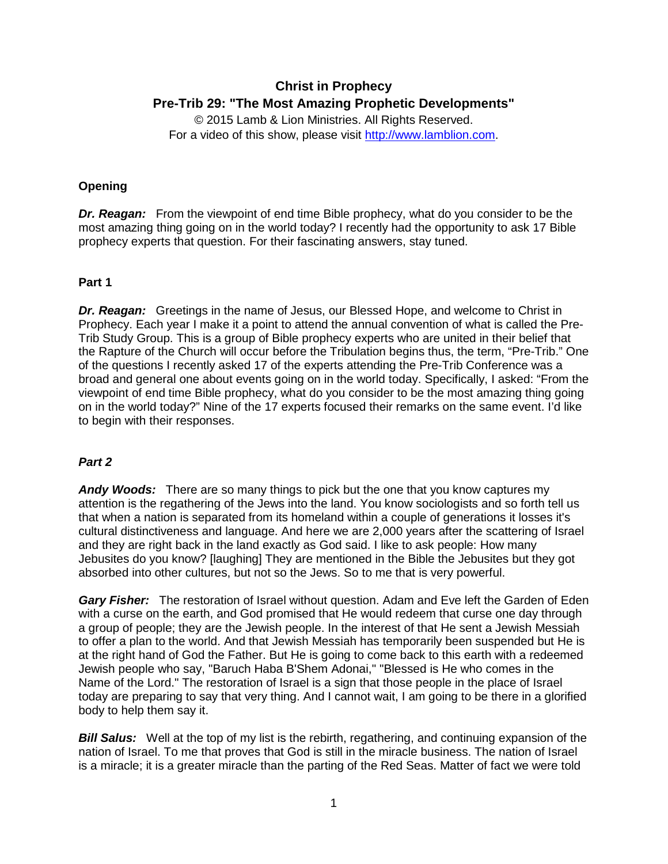# **Christ in Prophecy Pre-Trib 29: "The Most Amazing Prophetic Developments"**

© 2015 Lamb & Lion Ministries. All Rights Reserved. For a video of this show, please visit [http://www.lamblion.com.](http://www.lamblion.com/)

## **Opening**

**Dr. Reagan:** From the viewpoint of end time Bible prophecy, what do you consider to be the most amazing thing going on in the world today? I recently had the opportunity to ask 17 Bible prophecy experts that question. For their fascinating answers, stay tuned.

## **Part 1**

*Dr. Reagan:* Greetings in the name of Jesus, our Blessed Hope, and welcome to Christ in Prophecy. Each year I make it a point to attend the annual convention of what is called the Pre-Trib Study Group. This is a group of Bible prophecy experts who are united in their belief that the Rapture of the Church will occur before the Tribulation begins thus, the term, "Pre-Trib." One of the questions I recently asked 17 of the experts attending the Pre-Trib Conference was a broad and general one about events going on in the world today. Specifically, I asked: "From the viewpoint of end time Bible prophecy, what do you consider to be the most amazing thing going on in the world today?" Nine of the 17 experts focused their remarks on the same event. I'd like to begin with their responses.

## *Part 2*

*Andy Woods:* There are so many things to pick but the one that you know captures my attention is the regathering of the Jews into the land. You know sociologists and so forth tell us that when a nation is separated from its homeland within a couple of generations it losses it's cultural distinctiveness and language. And here we are 2,000 years after the scattering of Israel and they are right back in the land exactly as God said. I like to ask people: How many Jebusites do you know? [laughing] They are mentioned in the Bible the Jebusites but they got absorbed into other cultures, but not so the Jews. So to me that is very powerful.

**Gary Fisher:** The restoration of Israel without question. Adam and Eve left the Garden of Eden with a curse on the earth, and God promised that He would redeem that curse one day through a group of people; they are the Jewish people. In the interest of that He sent a Jewish Messiah to offer a plan to the world. And that Jewish Messiah has temporarily been suspended but He is at the right hand of God the Father. But He is going to come back to this earth with a redeemed Jewish people who say, "Baruch Haba B'Shem Adonai," "Blessed is He who comes in the Name of the Lord." The restoration of Israel is a sign that those people in the place of Israel today are preparing to say that very thing. And I cannot wait, I am going to be there in a glorified body to help them say it.

**Bill Salus:** Well at the top of my list is the rebirth, regathering, and continuing expansion of the nation of Israel. To me that proves that God is still in the miracle business. The nation of Israel is a miracle; it is a greater miracle than the parting of the Red Seas. Matter of fact we were told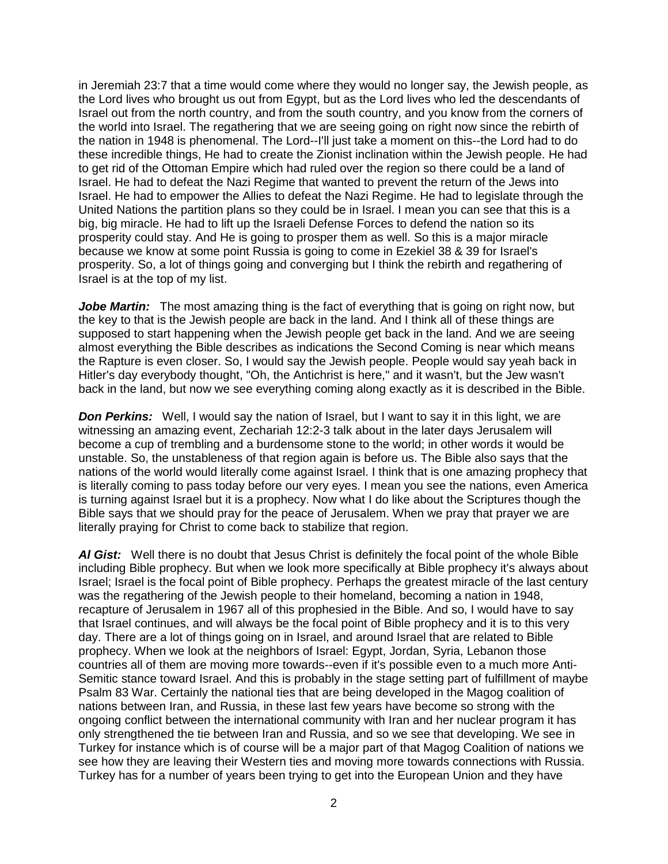in Jeremiah 23:7 that a time would come where they would no longer say, the Jewish people, as the Lord lives who brought us out from Egypt, but as the Lord lives who led the descendants of Israel out from the north country, and from the south country, and you know from the corners of the world into Israel. The regathering that we are seeing going on right now since the rebirth of the nation in 1948 is phenomenal. The Lord--I'll just take a moment on this--the Lord had to do these incredible things, He had to create the Zionist inclination within the Jewish people. He had to get rid of the Ottoman Empire which had ruled over the region so there could be a land of Israel. He had to defeat the Nazi Regime that wanted to prevent the return of the Jews into Israel. He had to empower the Allies to defeat the Nazi Regime. He had to legislate through the United Nations the partition plans so they could be in Israel. I mean you can see that this is a big, big miracle. He had to lift up the Israeli Defense Forces to defend the nation so its prosperity could stay. And He is going to prosper them as well. So this is a major miracle because we know at some point Russia is going to come in Ezekiel 38 & 39 for Israel's prosperity. So, a lot of things going and converging but I think the rebirth and regathering of Israel is at the top of my list.

**Jobe Martin:** The most amazing thing is the fact of everything that is going on right now, but the key to that is the Jewish people are back in the land. And I think all of these things are supposed to start happening when the Jewish people get back in the land. And we are seeing almost everything the Bible describes as indications the Second Coming is near which means the Rapture is even closer. So, I would say the Jewish people. People would say yeah back in Hitler's day everybody thought, "Oh, the Antichrist is here," and it wasn't, but the Jew wasn't back in the land, but now we see everything coming along exactly as it is described in the Bible.

**Don Perkins:** Well, I would say the nation of Israel, but I want to say it in this light, we are witnessing an amazing event, Zechariah 12:2-3 talk about in the later days Jerusalem will become a cup of trembling and a burdensome stone to the world; in other words it would be unstable. So, the unstableness of that region again is before us. The Bible also says that the nations of the world would literally come against Israel. I think that is one amazing prophecy that is literally coming to pass today before our very eyes. I mean you see the nations, even America is turning against Israel but it is a prophecy. Now what I do like about the Scriptures though the Bible says that we should pray for the peace of Jerusalem. When we pray that prayer we are literally praying for Christ to come back to stabilize that region.

*Al Gist:* Well there is no doubt that Jesus Christ is definitely the focal point of the whole Bible including Bible prophecy. But when we look more specifically at Bible prophecy it's always about Israel; Israel is the focal point of Bible prophecy. Perhaps the greatest miracle of the last century was the regathering of the Jewish people to their homeland, becoming a nation in 1948, recapture of Jerusalem in 1967 all of this prophesied in the Bible. And so, I would have to say that Israel continues, and will always be the focal point of Bible prophecy and it is to this very day. There are a lot of things going on in Israel, and around Israel that are related to Bible prophecy. When we look at the neighbors of Israel: Egypt, Jordan, Syria, Lebanon those countries all of them are moving more towards--even if it's possible even to a much more Anti-Semitic stance toward Israel. And this is probably in the stage setting part of fulfillment of maybe Psalm 83 War. Certainly the national ties that are being developed in the Magog coalition of nations between Iran, and Russia, in these last few years have become so strong with the ongoing conflict between the international community with Iran and her nuclear program it has only strengthened the tie between Iran and Russia, and so we see that developing. We see in Turkey for instance which is of course will be a major part of that Magog Coalition of nations we see how they are leaving their Western ties and moving more towards connections with Russia. Turkey has for a number of years been trying to get into the European Union and they have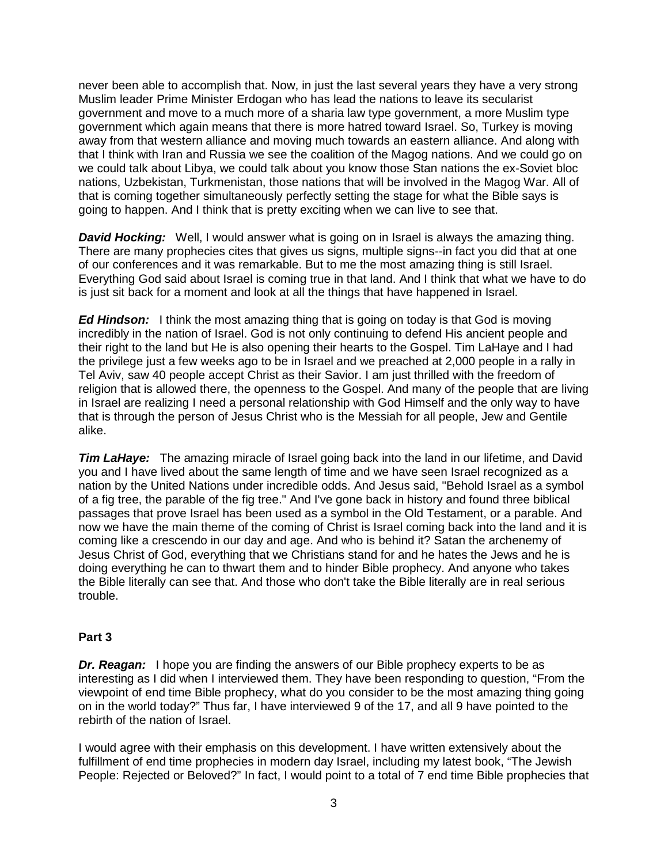never been able to accomplish that. Now, in just the last several years they have a very strong Muslim leader Prime Minister Erdogan who has lead the nations to leave its secularist government and move to a much more of a sharia law type government, a more Muslim type government which again means that there is more hatred toward Israel. So, Turkey is moving away from that western alliance and moving much towards an eastern alliance. And along with that I think with Iran and Russia we see the coalition of the Magog nations. And we could go on we could talk about Libya, we could talk about you know those Stan nations the ex-Soviet bloc nations, Uzbekistan, Turkmenistan, those nations that will be involved in the Magog War. All of that is coming together simultaneously perfectly setting the stage for what the Bible says is going to happen. And I think that is pretty exciting when we can live to see that.

*David Hocking:* Well, I would answer what is going on in Israel is always the amazing thing. There are many prophecies cites that gives us signs, multiple signs--in fact you did that at one of our conferences and it was remarkable. But to me the most amazing thing is still Israel. Everything God said about Israel is coming true in that land. And I think that what we have to do is just sit back for a moment and look at all the things that have happened in Israel.

*Ed Hindson:* I think the most amazing thing that is going on today is that God is moving incredibly in the nation of Israel. God is not only continuing to defend His ancient people and their right to the land but He is also opening their hearts to the Gospel. Tim LaHaye and I had the privilege just a few weeks ago to be in Israel and we preached at 2,000 people in a rally in Tel Aviv, saw 40 people accept Christ as their Savior. I am just thrilled with the freedom of religion that is allowed there, the openness to the Gospel. And many of the people that are living in Israel are realizing I need a personal relationship with God Himself and the only way to have that is through the person of Jesus Christ who is the Messiah for all people, Jew and Gentile alike.

*Tim LaHaye:* The amazing miracle of Israel going back into the land in our lifetime, and David you and I have lived about the same length of time and we have seen Israel recognized as a nation by the United Nations under incredible odds. And Jesus said, "Behold Israel as a symbol of a fig tree, the parable of the fig tree." And I've gone back in history and found three biblical passages that prove Israel has been used as a symbol in the Old Testament, or a parable. And now we have the main theme of the coming of Christ is Israel coming back into the land and it is coming like a crescendo in our day and age. And who is behind it? Satan the archenemy of Jesus Christ of God, everything that we Christians stand for and he hates the Jews and he is doing everything he can to thwart them and to hinder Bible prophecy. And anyone who takes the Bible literally can see that. And those who don't take the Bible literally are in real serious trouble.

## **Part 3**

*Dr. Reagan:* I hope you are finding the answers of our Bible prophecy experts to be as interesting as I did when I interviewed them. They have been responding to question, "From the viewpoint of end time Bible prophecy, what do you consider to be the most amazing thing going on in the world today?" Thus far, I have interviewed 9 of the 17, and all 9 have pointed to the rebirth of the nation of Israel.

I would agree with their emphasis on this development. I have written extensively about the fulfillment of end time prophecies in modern day Israel, including my latest book, "The Jewish People: Rejected or Beloved?" In fact, I would point to a total of 7 end time Bible prophecies that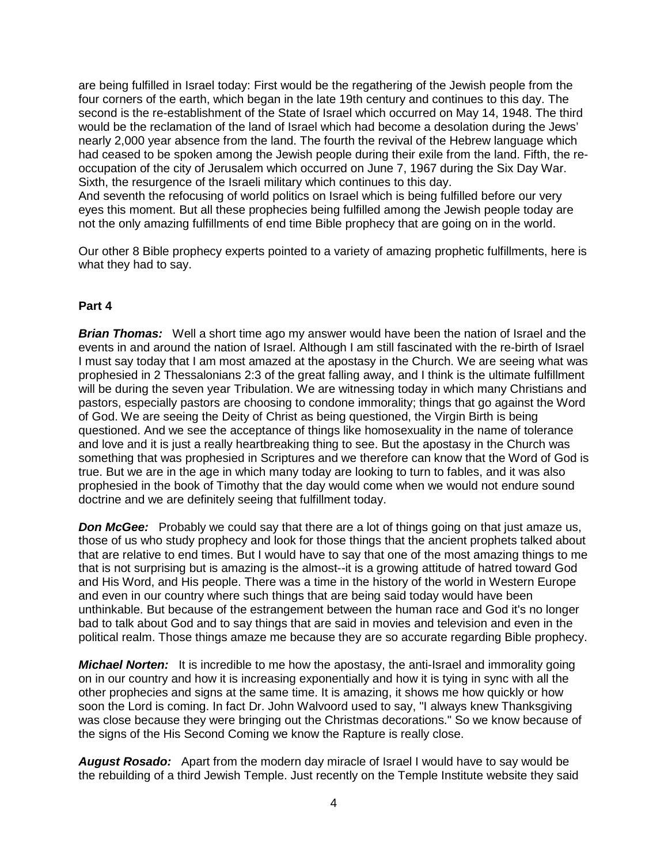are being fulfilled in Israel today: First would be the regathering of the Jewish people from the four corners of the earth, which began in the late 19th century and continues to this day. The second is the re-establishment of the State of Israel which occurred on May 14, 1948. The third would be the reclamation of the land of Israel which had become a desolation during the Jews' nearly 2,000 year absence from the land. The fourth the revival of the Hebrew language which had ceased to be spoken among the Jewish people during their exile from the land. Fifth, the reoccupation of the city of Jerusalem which occurred on June 7, 1967 during the Six Day War. Sixth, the resurgence of the Israeli military which continues to this day.

And seventh the refocusing of world politics on Israel which is being fulfilled before our very eyes this moment. But all these prophecies being fulfilled among the Jewish people today are not the only amazing fulfillments of end time Bible prophecy that are going on in the world.

Our other 8 Bible prophecy experts pointed to a variety of amazing prophetic fulfillments, here is what they had to say.

#### **Part 4**

**Brian Thomas:** Well a short time ago my answer would have been the nation of Israel and the events in and around the nation of Israel. Although I am still fascinated with the re-birth of Israel I must say today that I am most amazed at the apostasy in the Church. We are seeing what was prophesied in 2 Thessalonians 2:3 of the great falling away, and I think is the ultimate fulfillment will be during the seven year Tribulation. We are witnessing today in which many Christians and pastors, especially pastors are choosing to condone immorality; things that go against the Word of God. We are seeing the Deity of Christ as being questioned, the Virgin Birth is being questioned. And we see the acceptance of things like homosexuality in the name of tolerance and love and it is just a really heartbreaking thing to see. But the apostasy in the Church was something that was prophesied in Scriptures and we therefore can know that the Word of God is true. But we are in the age in which many today are looking to turn to fables, and it was also prophesied in the book of Timothy that the day would come when we would not endure sound doctrine and we are definitely seeing that fulfillment today.

**Don McGee:** Probably we could say that there are a lot of things going on that just amaze us, those of us who study prophecy and look for those things that the ancient prophets talked about that are relative to end times. But I would have to say that one of the most amazing things to me that is not surprising but is amazing is the almost--it is a growing attitude of hatred toward God and His Word, and His people. There was a time in the history of the world in Western Europe and even in our country where such things that are being said today would have been unthinkable. But because of the estrangement between the human race and God it's no longer bad to talk about God and to say things that are said in movies and television and even in the political realm. Those things amaze me because they are so accurate regarding Bible prophecy.

*Michael Norten:* It is incredible to me how the apostasy, the anti-Israel and immorality going on in our country and how it is increasing exponentially and how it is tying in sync with all the other prophecies and signs at the same time. It is amazing, it shows me how quickly or how soon the Lord is coming. In fact Dr. John Walvoord used to say, "I always knew Thanksgiving was close because they were bringing out the Christmas decorations." So we know because of the signs of the His Second Coming we know the Rapture is really close.

*August Rosado:* Apart from the modern day miracle of Israel I would have to say would be the rebuilding of a third Jewish Temple. Just recently on the Temple Institute website they said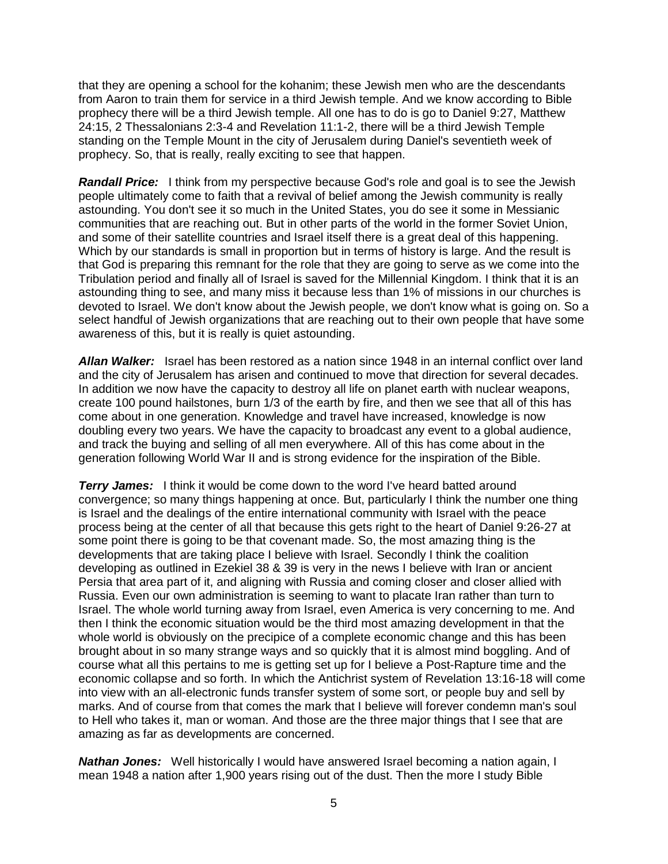that they are opening a school for the kohanim; these Jewish men who are the descendants from Aaron to train them for service in a third Jewish temple. And we know according to Bible prophecy there will be a third Jewish temple. All one has to do is go to Daniel 9:27, Matthew 24:15, 2 Thessalonians 2:3-4 and Revelation 11:1-2, there will be a third Jewish Temple standing on the Temple Mount in the city of Jerusalem during Daniel's seventieth week of prophecy. So, that is really, really exciting to see that happen.

*Randall Price:* I think from my perspective because God's role and goal is to see the Jewish people ultimately come to faith that a revival of belief among the Jewish community is really astounding. You don't see it so much in the United States, you do see it some in Messianic communities that are reaching out. But in other parts of the world in the former Soviet Union, and some of their satellite countries and Israel itself there is a great deal of this happening. Which by our standards is small in proportion but in terms of history is large. And the result is that God is preparing this remnant for the role that they are going to serve as we come into the Tribulation period and finally all of Israel is saved for the Millennial Kingdom. I think that it is an astounding thing to see, and many miss it because less than 1% of missions in our churches is devoted to Israel. We don't know about the Jewish people, we don't know what is going on. So a select handful of Jewish organizations that are reaching out to their own people that have some awareness of this, but it is really is quiet astounding.

*Allan Walker:* Israel has been restored as a nation since 1948 in an internal conflict over land and the city of Jerusalem has arisen and continued to move that direction for several decades. In addition we now have the capacity to destroy all life on planet earth with nuclear weapons, create 100 pound hailstones, burn 1/3 of the earth by fire, and then we see that all of this has come about in one generation. Knowledge and travel have increased, knowledge is now doubling every two years. We have the capacity to broadcast any event to a global audience, and track the buying and selling of all men everywhere. All of this has come about in the generation following World War II and is strong evidence for the inspiration of the Bible.

**Terry James:** I think it would be come down to the word I've heard batted around convergence; so many things happening at once. But, particularly I think the number one thing is Israel and the dealings of the entire international community with Israel with the peace process being at the center of all that because this gets right to the heart of Daniel 9:26-27 at some point there is going to be that covenant made. So, the most amazing thing is the developments that are taking place I believe with Israel. Secondly I think the coalition developing as outlined in Ezekiel 38 & 39 is very in the news I believe with Iran or ancient Persia that area part of it, and aligning with Russia and coming closer and closer allied with Russia. Even our own administration is seeming to want to placate Iran rather than turn to Israel. The whole world turning away from Israel, even America is very concerning to me. And then I think the economic situation would be the third most amazing development in that the whole world is obviously on the precipice of a complete economic change and this has been brought about in so many strange ways and so quickly that it is almost mind boggling. And of course what all this pertains to me is getting set up for I believe a Post-Rapture time and the economic collapse and so forth. In which the Antichrist system of Revelation 13:16-18 will come into view with an all-electronic funds transfer system of some sort, or people buy and sell by marks. And of course from that comes the mark that I believe will forever condemn man's soul to Hell who takes it, man or woman. And those are the three major things that I see that are amazing as far as developments are concerned.

**Nathan Jones:** Well historically I would have answered Israel becoming a nation again, I mean 1948 a nation after 1,900 years rising out of the dust. Then the more I study Bible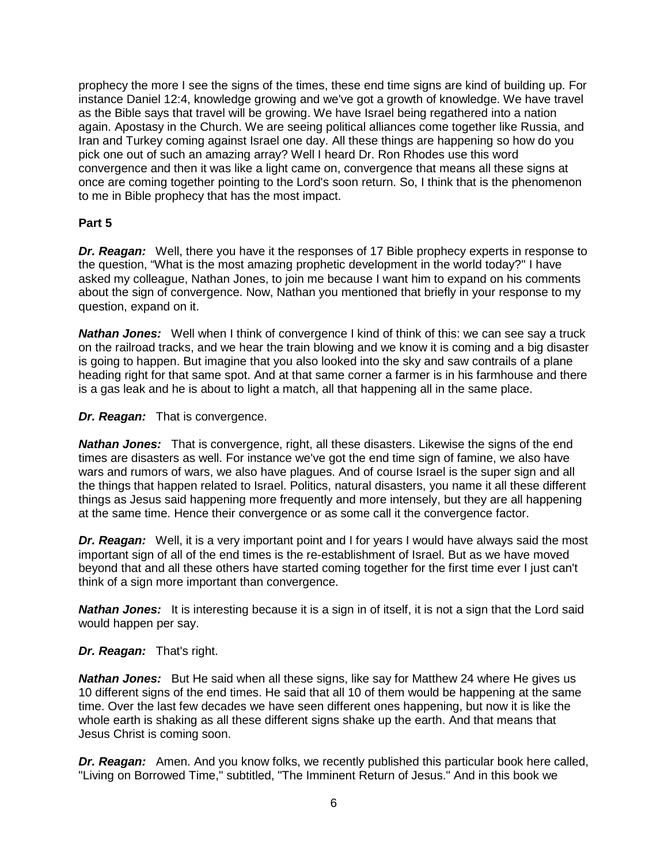prophecy the more I see the signs of the times, these end time signs are kind of building up. For instance Daniel 12:4, knowledge growing and we've got a growth of knowledge. We have travel as the Bible says that travel will be growing. We have Israel being regathered into a nation again. Apostasy in the Church. We are seeing political alliances come together like Russia, and Iran and Turkey coming against Israel one day. All these things are happening so how do you pick one out of such an amazing array? Well I heard Dr. Ron Rhodes use this word convergence and then it was like a light came on, convergence that means all these signs at once are coming together pointing to the Lord's soon return. So, I think that is the phenomenon to me in Bible prophecy that has the most impact.

## **Part 5**

**Dr. Reagan:** Well, there you have it the responses of 17 Bible prophecy experts in response to the question, "What is the most amazing prophetic development in the world today?" I have asked my colleague, Nathan Jones, to join me because I want him to expand on his comments about the sign of convergence. Now, Nathan you mentioned that briefly in your response to my question, expand on it.

**Nathan Jones:** Well when I think of convergence I kind of think of this: we can see say a truck on the railroad tracks, and we hear the train blowing and we know it is coming and a big disaster is going to happen. But imagine that you also looked into the sky and saw contrails of a plane heading right for that same spot. And at that same corner a farmer is in his farmhouse and there is a gas leak and he is about to light a match, all that happening all in the same place.

## *Dr. Reagan:* That is convergence.

**Nathan Jones:** That is convergence, right, all these disasters. Likewise the signs of the end times are disasters as well. For instance we've got the end time sign of famine, we also have wars and rumors of wars, we also have plagues. And of course Israel is the super sign and all the things that happen related to Israel. Politics, natural disasters, you name it all these different things as Jesus said happening more frequently and more intensely, but they are all happening at the same time. Hence their convergence or as some call it the convergence factor.

*Dr. Reagan:* Well, it is a very important point and I for years I would have always said the most important sign of all of the end times is the re-establishment of Israel. But as we have moved beyond that and all these others have started coming together for the first time ever I just can't think of a sign more important than convergence.

**Nathan Jones:** It is interesting because it is a sign in of itself, it is not a sign that the Lord said would happen per say.

## *Dr. Reagan:* That's right.

**Nathan Jones:** But He said when all these signs, like say for Matthew 24 where He gives us 10 different signs of the end times. He said that all 10 of them would be happening at the same time. Over the last few decades we have seen different ones happening, but now it is like the whole earth is shaking as all these different signs shake up the earth. And that means that Jesus Christ is coming soon.

**Dr. Reagan:** Amen. And you know folks, we recently published this particular book here called, "Living on Borrowed Time," subtitled, "The Imminent Return of Jesus." And in this book we